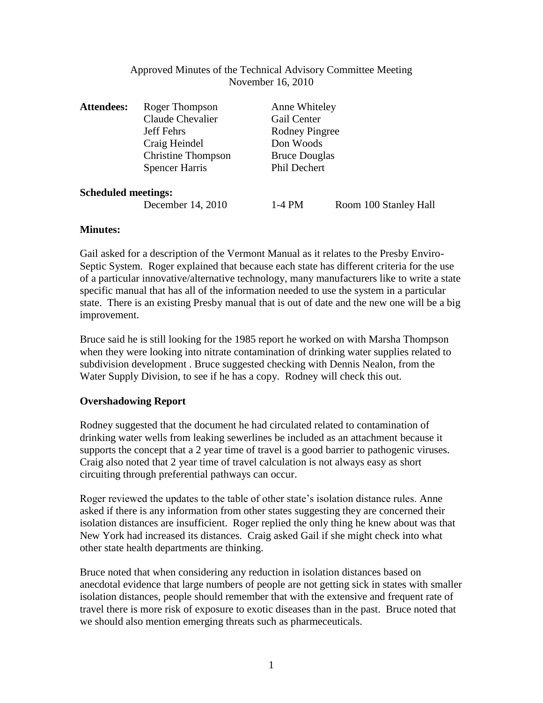## Approved Minutes of the Technical Advisory Committee Meeting November 16, 2010

| <b>Attendees:</b>          | Roger Thompson            | Anne Whiteley                        |                       |
|----------------------------|---------------------------|--------------------------------------|-----------------------|
|                            | Claude Chevalier          | Gail Center                          |                       |
|                            | <b>Jeff Fehrs</b>         | Rodney Pingree                       |                       |
|                            | Craig Heindel             | Don Woods                            |                       |
|                            | <b>Christine Thompson</b> | <b>Bruce Douglas</b><br>Phil Dechert |                       |
|                            | <b>Spencer Harris</b>     |                                      |                       |
| <b>Scheduled meetings:</b> |                           |                                      |                       |
|                            | December 14, 2010         | $1-4$ PM                             | Room 100 Stanley Hall |

# **Minutes:**

Gail asked for a description of the Vermont Manual as it relates to the Presby Enviro-Septic System. Roger explained that because each state has different criteria for the use of a particular innovative/alternative technology, many manufacturers like to write a state specific manual that has all of the information needed to use the system in a particular state. There is an existing Presby manual that is out of date and the new one will be a big improvement.

Bruce said he is still looking for the 1985 report he worked on with Marsha Thompson when they were looking into nitrate contamination of drinking water supplies related to subdivision development . Bruce suggested checking with Dennis Nealon, from the Water Supply Division, to see if he has a copy. Rodney will check this out.

# **Overshadowing Report**

Rodney suggested that the document he had circulated related to contamination of drinking water wells from leaking sewerlines be included as an attachment because it supports the concept that a 2 year time of travel is a good barrier to pathogenic viruses. Craig also noted that 2 year time of travel calculation is not always easy as short circuiting through preferential pathways can occur.

Roger reviewed the updates to the table of other state's isolation distance rules. Anne asked if there is any information from other states suggesting they are concerned their isolation distances are insufficient. Roger replied the only thing he knew about was that New York had increased its distances. Craig asked Gail if she might check into what other state health departments are thinking.

Bruce noted that when considering any reduction in isolation distances based on anecdotal evidence that large numbers of people are not getting sick in states with smaller isolation distances, people should remember that with the extensive and frequent rate of travel there is more risk of exposure to exotic diseases than in the past. Bruce noted that we should also mention emerging threats such as pharmeceuticals.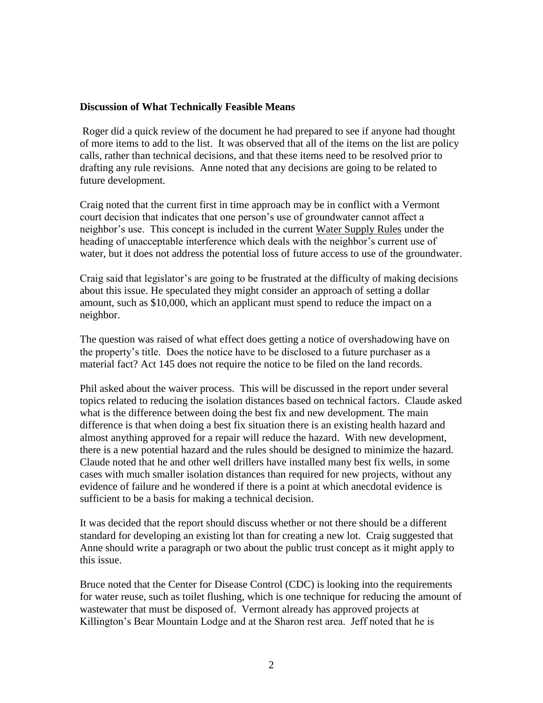#### **Discussion of What Technically Feasible Means**

Roger did a quick review of the document he had prepared to see if anyone had thought of more items to add to the list. It was observed that all of the items on the list are policy calls, rather than technical decisions, and that these items need to be resolved prior to drafting any rule revisions. Anne noted that any decisions are going to be related to future development.

Craig noted that the current first in time approach may be in conflict with a Vermont court decision that indicates that one person's use of groundwater cannot affect a neighbor's use. This concept is included in the current Water Supply Rules under the heading of unacceptable interference which deals with the neighbor's current use of water, but it does not address the potential loss of future access to use of the groundwater.

Craig said that legislator's are going to be frustrated at the difficulty of making decisions about this issue. He speculated they might consider an approach of setting a dollar amount, such as \$10,000, which an applicant must spend to reduce the impact on a neighbor.

The question was raised of what effect does getting a notice of overshadowing have on the property's title. Does the notice have to be disclosed to a future purchaser as a material fact? Act 145 does not require the notice to be filed on the land records.

Phil asked about the waiver process. This will be discussed in the report under several topics related to reducing the isolation distances based on technical factors. Claude asked what is the difference between doing the best fix and new development. The main difference is that when doing a best fix situation there is an existing health hazard and almost anything approved for a repair will reduce the hazard. With new development, there is a new potential hazard and the rules should be designed to minimize the hazard. Claude noted that he and other well drillers have installed many best fix wells, in some cases with much smaller isolation distances than required for new projects, without any evidence of failure and he wondered if there is a point at which anecdotal evidence is sufficient to be a basis for making a technical decision.

It was decided that the report should discuss whether or not there should be a different standard for developing an existing lot than for creating a new lot. Craig suggested that Anne should write a paragraph or two about the public trust concept as it might apply to this issue.

Bruce noted that the Center for Disease Control (CDC) is looking into the requirements for water reuse, such as toilet flushing, which is one technique for reducing the amount of wastewater that must be disposed of. Vermont already has approved projects at Killington's Bear Mountain Lodge and at the Sharon rest area. Jeff noted that he is